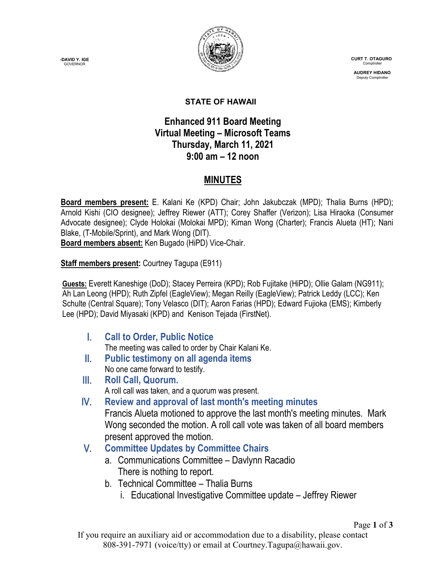**-DAVID Y. IGE GOVERNOR** 



 **CURT T. OTAGURO** Comptrol

**AUDREY HIDANO** Deputy Comptroll

Page **1** of **3**

#### **STATE OF HAWAII**

#### **Enhanced 911 Board Meeting Virtual Meeting – Microsoft Teams Thursday, March 11, 2021 9:00 am – 12 noon**

### **MINUTES**

**Board members present:** E. Kalani Ke (KPD) Chair; John Jakubczak (MPD); Thalia Burns (HPD); Arnold Kishi (CIO designee); Jeffrey Riewer (ATT); Corey Shaffer (Verizon); Lisa Hiraoka (Consumer Advocate designee); Clyde Holokai (Molokai MPD); Kiman Wong (Charter); Francis Alueta (HT); Nani Blake, (T-Mobile/Sprint), and Mark Wong (DIT).

**Board members absent:** Ken Bugado (HiPD) Vice-Chair.

**Staff members present:** Courtney Tagupa (E911)

**Guests:** Everett Kaneshige (DoD); Stacey Perreira (KPD); Rob Fujitake (HiPD); Ollie Galam (NG911); Ah Lan Leong (HPD); Ruth Zipfel (EagleView); Megan Reilly (EagleView); Patrick Leddy (LCC); Ken Schulte (Central Square); Tony Velasco (DIT); Aaron Farias (HPD); Edward Fujioka (EMS); Kimberly Lee (HPD); David Miyasaki (KPD) and Kenison Tejada (FirstNet).

I. **Call to Order, Public Notice**

The meeting was called to order by Chair Kalani Ke.

- II. **Public testimony on all agenda items** No one came forward to testify.
- III. **Roll Call, Quorum.** A roll call was taken, and a quorum was present.
- IV. **Review and approval of last month's meeting minutes** Francis Alueta motioned to approve the last month's meeting minutes. Mark Wong seconded the motion. A roll call vote was taken of all board members present approved the motion.

### V. **Committee Updates by Committee Chairs**

- a. Communications Committee Davlynn Racadio There is nothing to report.
- b. Technical Committee Thalia Burns
	- i. Educational Investigative Committee update Jeffrey Riewer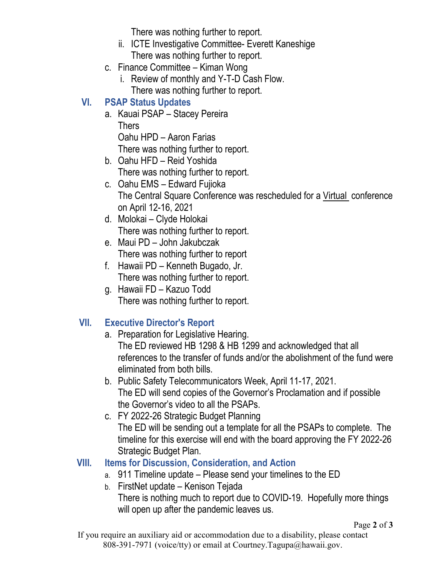There was nothing further to report.

- ii. ICTE Investigative Committee- Everett Kaneshige There was nothing further to report.
- c. Finance Committee Kiman Wong
	- i. Review of monthly and Y-T-D Cash Flow. There was nothing further to report.

### **VI. PSAP Status Updates**

- a. Kauai PSAP Stacey Pereira **Thers** Oahu HPD – Aaron Farias There was nothing further to report.
- b. Oahu HFD Reid Yoshida There was nothing further to report.
- c. Oahu EMS Edward Fujioka The Central Square Conference was rescheduled for a Virtual conference on April 12-16, 2021
- d. Molokai Clyde Holokai There was nothing further to report.
- e. Maui PD John Jakubczak There was nothing further to report
- f. Hawaii PD Kenneth Bugado, Jr. There was nothing further to report.
- g. Hawaii FD Kazuo Todd There was nothing further to report.

# **VII. Executive Director's Report**

a. Preparation for Legislative Hearing.

The ED reviewed HB 1298 & HB 1299 and acknowledged that all references to the transfer of funds and/or the abolishment of the fund were eliminated from both bills.

- b. Public Safety Telecommunicators Week, April 11-17, 2021. The ED will send copies of the Governor's Proclamation and if possible the Governor's video to all the PSAPs.
- c. FY 2022-26 Strategic Budget Planning The ED will be sending out a template for all the PSAPs to complete. The timeline for this exercise will end with the board approving the FY 2022-26 Strategic Budget Plan.

# **VIII. Items for Discussion, Consideration, and Action**

- a. 911 Timeline update Please send your timelines to the ED
- b. FirstNet update Kenison Tejada There is nothing much to report due to COVID-19. Hopefully more things will open up after the pandemic leaves us.

If you require an auxiliary aid or accommodation due to a disability, please contact 808-391-7971 (voice/tty) or email at Courtney.Tagupa@hawaii.gov.